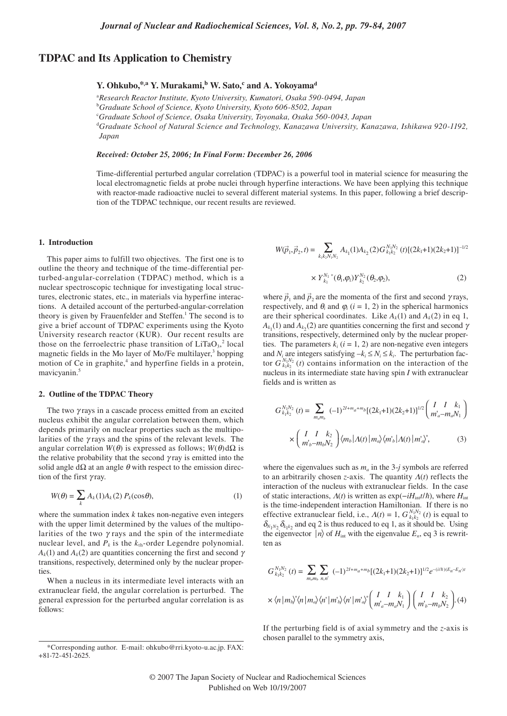# **TDPAC and Its Application to Chemistry**

# **Y. Ohkubo,\*,a Y. Murakami,<sup>b</sup> W. Sato,<sup>c</sup> and A. Yokoyamad**

a *Research Reactor Institute, Kyoto University, Kumatori, Osaka 590-0494, Japan* b *Graduate School of Science, Kyoto University, Kyoto 606-8502, Japan* c *Graduate School of Science, Osaka University, Toyonaka, Osaka 560-0043, Japan* <sup>d</sup>*Graduate School of Natural Science and Technology, Kanazawa University, Kanazawa, Ishikawa 920-1192, Japan*

### *Received: October 25, 2006; In Final Form: December 26, 2006*

Time-differential perturbed angular correlation (TDPAC) is a powerful tool in material science for measuring the local electromagnetic fields at probe nuclei through hyperfine interactions. We have been applying this technique with reactor-made radioactive nuclei to several different material systems. In this paper, following a brief description of the TDPAC technique, our recent results are reviewed.

#### **1. Introduction**

This paper aims to fulfill two objectives. The first one is to outline the theory and technique of the time-differential perturbed-angular-correlation (TDPAC) method, which is a nuclear spectroscopic technique for investigating local structures, electronic states, etc., in materials via hyperfine interactions. A detailed account of the perturbed-angular-correlation theory is given by Frauenfelder and Steffen.<sup>1</sup> The second is to give a brief account of TDPAC experiments using the Kyoto University research reactor (KUR). Our recent results are those on the ferroelectric phase transition of  $LiTaO<sub>3</sub>$ ,<sup>2</sup> local magnetic fields in the Mo layer of Mo/Fe multilayer, $3$  hopping motion of Ce in graphite,<sup>4</sup> and hyperfine fields in a protein, mavicyanin.5

### **2. Outline of the TDPAC Theory**

The two  $\gamma$  rays in a cascade process emitted from an excited nucleus exhibit the angular correlation between them, which depends primarily on nuclear properties such as the multipolarities of the  $\gamma$  rays and the spins of the relevant levels. The angular correlation  $W(\theta)$  is expressed as follows;  $W(\theta) d\Omega$  is the relative probability that the second  $\gamma$  ray is emitted into the solid angle d $\Omega$  at an angle  $\theta$  with respect to the emission direction of the first  $\gamma$  ray.

$$
W(\theta) = \sum_{k} A_k(1) A_k(2) P_k(\cos \theta), \tag{1}
$$

where the summation index *k* takes non-negative even integers with the upper limit determined by the values of the multipolarities of the two  $\gamma$  rays and the spin of the intermediate nuclear level, and  $P_k$  is the  $k_{\text{th}}$ -order Legendre polynomial.  $A_k(1)$  and  $A_k(2)$  are quantities concerning the first and second  $\gamma$ transitions, respectively, determined only by the nuclear properties

When a nucleus in its intermediate level interacts with an extranuclear field, the angular correlation is perturbed. The general expression for the perturbed angular correlation is as follows:

$$
W(\vec{p}_1, \vec{p}_2, t) = \sum_{k_1 k_2 N_1 N_2} A_{k_1}(1) A_{k_2}(2) G_{k_1 k_2}^{N_1 N_2}(t) [(2k_1+1)(2k_2+1)]^{-1/2}
$$
  
 
$$
\times Y_{k_1}^{N_1} * (\theta_1, \varphi_1) Y_{k_2}^{N_2}( \theta_2, \varphi_2), \qquad (2)
$$

where  $\vec{p}_1$  and  $\vec{p}_2$  are the momenta of the first and second  $\gamma$  rays, respectively, and  $\theta_i$  and  $\varphi_i$  ( $i = 1, 2$ ) in the spherical harmonics are their spherical coordinates. Like  $A_k(1)$  and  $A_k(2)$  in eq 1,  $A_{k_1}(1)$  and  $A_{k_2}(2)$  are quantities concerning the first and second  $\gamma$ transitions, respectively, determined only by the nuclear properties. The parameters  $k_i$  ( $i = 1, 2$ ) are non-negative even integers and  $N_i$  are integers satisfying  $-k_i \leq N_i \leq k_i$ . The perturbation factor  $G_{k_1k_2}^{N_1N_2}(t)$  contains information on the interaction of the nucleus in its intermediate state having spin *I* with extranuclear fields and is written as

$$
G_{k_1k_2}^{N_1N_2}(t) = \sum_{m_a m_b} (-1)^{2l + m_a + m_b} [(2k_1+1)(2k_2+1)]^{1/2} \begin{pmatrix} I & I & k_1 \\ m'_a - m_a N_1 \end{pmatrix}
$$

$$
\times \begin{pmatrix} I & I & k_2 \\ m'_b - m_b N_2 \end{pmatrix} \langle m_b | A(t) | m_a \rangle \langle m'_b | A(t) | m'_a \rangle^*,
$$
(3)

where the eigenvalues such as  $m_a$  in the 3-*j* symbols are referred to an arbitrarily chosen *z*-axis. The quantity Λ(*t*) reflects the interaction of the nucleus with extranuclear fields. In the case of static interactions, Λ(*t*) is written as exp(−*iH*int*t*/h), where *H*int is the time-independent interaction Hamiltonian. If there is no effective extranuclear field, i.e.,  $A(t) = 1$ ,  $G_{k_1k_2}^{N_1N_2}(t)$  is equal to  $\delta_{N_1N_2} \delta_{k_1k_2}$  and eq 2 is thus reduced to eq 1, as it should be. Using the eigenvector  $|n\rangle$  of  $H<sub>int</sub>$  with the eigenvalue  $E<sub>n</sub>$ , eq 3 is rewritten as

$$
G_{k_1k_2}^{N_1N_2} (t) = \sum_{m_a m_b} \sum_{n,n'} (-1)^{2I + m_a + m_b} [(2k_1+1)(2k_2+1)]^{1/2} e^{-(i/h)(E_n - E_n)t}
$$
  

$$
\times \langle n | m_b \rangle^* \langle n | m_a \rangle \langle n' | m_b \rangle \langle n' | m_a \rangle^* \left( \frac{I}{m_a - m_a N_1} \right) \left( \frac{I}{m_b' - m_b N_2} \right). (4)
$$

If the perturbing field is of axial symmetry and the *z*-axis is chosen parallel to the symmetry axis,

© 2007 The Japan Society of Nuclear and Radiochemical Sciences Published on Web 10/19/2007

<sup>\*</sup>Corresponding author. E-mail: ohkubo@rri.kyoto-u.ac.jp. FAX: +81-72-451-2625.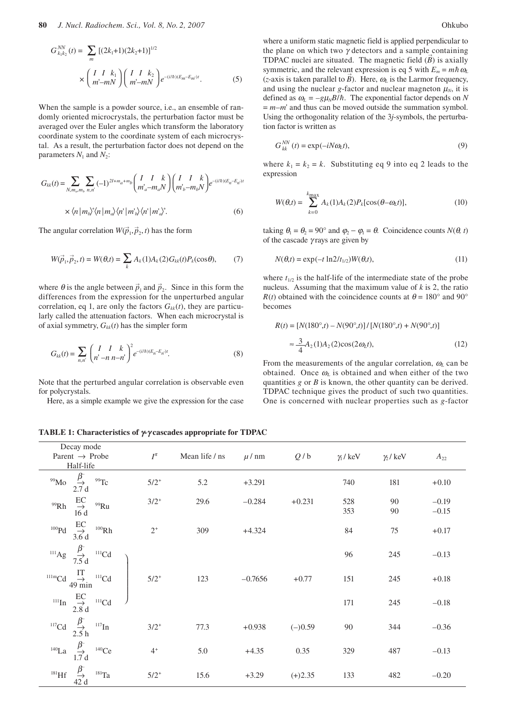$$
G_{k_1k_2}^{NN}(t) = \sum_{m} [(2k_1+1)(2k_2+1)]^{1/2}
$$

$$
\times \left(\begin{array}{c} I & I & k_1 \\ m'-mN \end{array}\right) \left(\begin{array}{cc} I & I & k_2 \\ m'-mN \end{array}\right) e^{-(i/\hbar)(E_m - E_m)^t}.
$$
 (5)

When the sample is a powder source, i.e., an ensemble of randomly oriented microcrystals, the perturbation factor must be averaged over the Euler angles which transform the laboratory coordinate system to the coordinate system of each microcrystal. As a result, the perturbation factor does not depend on the parameters  $N_1$  and  $N_2$ :

$$
G_{kk}(t) = \sum_{N,m_a,m_b} \sum_{n,n'} (-1)^{2l+m_a+m_b} \binom{I}{m'_a-m_a N} \binom{I}{m'_b-m_b N} e^{-(i/\hbar)(E_n-E_n)t}
$$

$$
\times \langle n | m_b \rangle^* \langle n | m_a \rangle \langle n' | m'_b \rangle \langle n' | m'_a \rangle^*.
$$
(6)

The angular correlation  $W(\vec{p}_1, \vec{p}_2, t)$  has the form

$$
W(\vec{p}_1, \vec{p}_2, t) = W(\theta, t) = \sum_{k} A_k(1) A_k(2) G_{kk}(t) P_k(\cos \theta), \tag{7}
$$

where  $\theta$  is the angle between  $\vec{p}_1$  and  $\vec{p}_2$ . Since in this form the differences from the expression for the unperturbed angular correlation, eq 1, are only the factors  $G_{kk}(t)$ , they are particularly called the attenuation factors. When each microcrystal is of axial symmetry,  $G_{kk}(t)$  has the simpler form

$$
G_{kk}(t) = \sum_{n,n'} \binom{I \quad I \quad k}{n'-n \; n-n'}^2 e^{-(i/\hbar)(E_n - E_n)t}.\tag{8}
$$

Note that the perturbed angular correlation is observable even for polycrystals.

Here, as a simple example we give the expression for the case

where a uniform static magnetic field is applied perpendicular to the plane on which two  $\gamma$  detectors and a sample containing TDPAC nuclei are situated. The magnetic field  $(\vec{B})$  is axially symmetric, and the relevant expression is eq 5 with  $E_m = m\hbar \omega_L$ (*z*-axis is taken parallel to  $\vec{B}$ ). Here,  $\omega_L$  is the Larmor frequency, and using the nuclear *g*-factor and nuclear magneton  $\mu_N$ , it is defined as  $\omega_L = -g\mu_N B/\hbar$ . The exponential factor depends on *N*  $= m - m'$  and thus can be moved outside the summation symbol. Using the orthogonality relation of the 3*j*-symbols, the perturbation factor is written as

$$
G_{kk}^{NN}(t) = \exp(-iN\omega_L t),\tag{9}
$$

where  $k_1 = k_2 = k$ . Substituting eq 9 into eq 2 leads to the expression

$$
W(\theta,t) = \sum_{k=0}^{k_{\text{max}}} A_k(1) A_k(2) P_k[\cos(\theta - \omega_L t)], \qquad (10)
$$

taking  $\theta_1 = \theta_2 = 90^\circ$  and  $\phi_2 - \phi_1 = \theta$ . Coincidence counts  $N(\theta, t)$ of the cascade  $\gamma$  rays are given by

$$
N(\theta, t) = \exp(-t \ln 2/t_{1/2}) W(\theta, t), \qquad (11)
$$

where  $t_{1/2}$  is the half-life of the intermediate state of the probe nucleus. Assuming that the maximum value of *k* is 2, the ratio *R*(*t*) obtained with the coincidence counts at  $\theta = 180^\circ$  and 90° becomes

$$
R(t) = [N(180^\circ, t) - N(90^\circ, t)] / [N(180^\circ, t) + N(90^\circ, t)]
$$
  

$$
\approx \frac{3}{4} A_2(1) A_2(2) \cos(2\omega_L t),
$$
 (12)

From the measurements of the angular correlation,  $\omega_L$  can be obtained. Once  $\omega_L$  is obtained and when either of the two quantities *g* or *B* is known, the other quantity can be derived. TDPAC technique gives the product of such two quantities. One is concerned with nuclear properties such as *g*-factor

| TABLE 1: Characteristics of y y cascades appropriate for TDPAC |  |  |
|----------------------------------------------------------------|--|--|
|----------------------------------------------------------------|--|--|

| Decay mode                                                                                                                 |           |                |            |           |                           |                               |                    |
|----------------------------------------------------------------------------------------------------------------------------|-----------|----------------|------------|-----------|---------------------------|-------------------------------|--------------------|
| Parent $\rightarrow$ Probe                                                                                                 | $I^{\pi}$ | Mean life / ns | $\mu$ / nm | Q/b       | $\gamma$ <sup>1</sup> keV | $\frac{\gamma_2}{\text{keV}}$ | $A_{22}$           |
| Half-life                                                                                                                  |           |                |            |           |                           |                               |                    |
| $\frac{\beta}{2.7 d}$<br>99Tc<br>$^{99}\rm{Mo}$                                                                            | $5/2^+$   | 5.2            | $+3.291$   |           | 740                       | 181                           | $+0.10$            |
| $\frac{EC}{16 d}$ <sup>99</sup> Ru<br>$^{99}$ Rh                                                                           | $3/2^{+}$ | 29.6           | $-0.284$   | $+0.231$  | 528<br>353                | 90<br>90                      | $-0.19$<br>$-0.15$ |
| $\overset{EC}{\rightarrow}$ $^{100}Rh$<br>3.6 d<br>${}^{100}\mathrm{Pd}$                                                   | $2^+$     | 309            | $+4.324$   |           | 84                        | 75                            | $+0.17$            |
| $\mathsf{^{III}Ag} \ \overset{\beta^-}{\underset{7.5}{\rightarrow}} \mathsf{^{III}Cd}$                                     |           |                |            |           | 96                        | 245                           | $-0.13$            |
| $\overset{\text{111m}}{\rightarrow} \text{Cd} \overset{\text{I}}{\rightarrow} \overset{\text{111}}{\rightarrow} \text{Cd}$ | $5/2^+$   | 123            | $-0.7656$  | $+0.77$   | 151                       | 245                           | $+0.18$            |
| <sup>111</sup> In $\frac{EC}{2.8 d}$ <sup>111</sup> Cd                                                                     |           |                |            |           | 171                       | 245                           | $-0.18$            |
| <sup>117</sup> Cd $\frac{\beta}{2.5}$ h <sup>117</sup> In                                                                  | $3/2^{+}$ | 77.3           | $+0.938$   | $(-)0.59$ | 90                        | 344                           | $-0.36$            |
| <sup>140</sup> La $\underset{1.7}{\overset{\beta^-}{\rightarrow}}$ <sup>140</sup> Ce                                       | $4^+$     | 5.0            | $+4.35$    | 0.35      | 329                       | 487                           | $-0.13$            |
| <sup>181</sup> Hf $\frac{\beta}{42 d}$<br>$181$ Ta                                                                         | $5/2^+$   | 15.6           | $+3.29$    | $(+)2.35$ | 133                       | 482                           | $-0.20$            |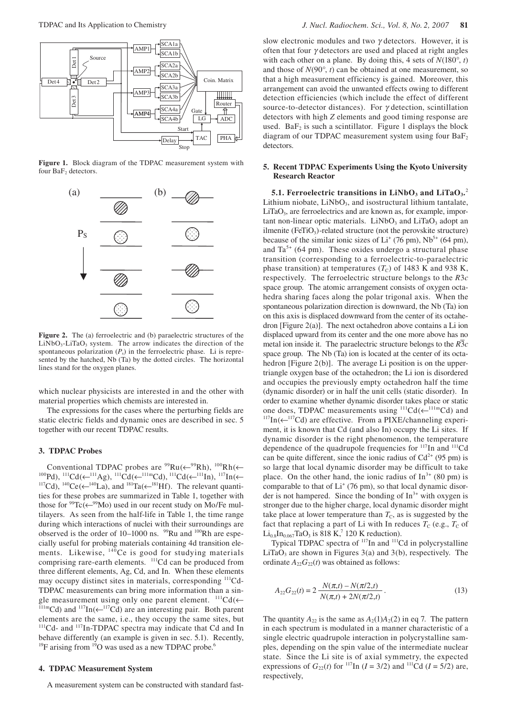

**Figure 1.** Block diagram of the TDPAC measurement system with four BaF<sub>2</sub> detectors.



**Figure 2.** The (a) ferroelectric and (b) paraelectric structures of the  $LiNbO<sub>3</sub>-LiTaO<sub>3</sub>$  system. The arrow indicates the direction of the spontaneous polarization  $(P_s)$  in the ferroelectric phase. Li is represented by the hatched, Nb (Ta) by the dotted circles. The horizontal lines stand for the oxygen planes.

which nuclear physicists are interested in and the other with material properties which chemists are interested in.

The expressions for the cases where the perturbing fields are static electric fields and dynamic ones are described in sec. 5 together with our recent TDPAC results.

### **3. TDPAC Probes**

Conventional TDPAC probes are  $^{99}Ru$   $\leftarrow$   $^{99}Rh$ ,  $^{100}Rh$   $\leftarrow$ <sup>100</sup>Pd), <sup>111</sup>Cd(←<sup>111</sup>Ag), <sup>111</sup>Cd(←<sup>111m</sup>Cd), <sup>111</sup>Cd(←<sup>111</sup>In), <sup>117</sup>In(←  $117\text{Cd}$ ,  $140\text{Ce}$ ( $\leftarrow$  $140\text{La}$ ), and  $181\text{Ta}$ ( $\leftarrow$  $181\text{Hf}$ ). The relevant quantities for these probes are summarized in Table 1, together with those for  $99Tc$ (← $99Mo$ ) used in our recent study on Mo/Fe multilayers. As seen from the half-life in Table 1, the time range during which interactions of nuclei with their surroundings are observed is the order of 10–1000 ns. <sup>99</sup>Ru and <sup>100</sup>Rh are especially useful for probing materials containing 4d transition elements. Likewise, <sup>140</sup>Ce is good for studying materials comprising rare-earth elements. <sup>111</sup>Cd can be produced from three different elements, Ag, Cd, and In. When these elements may occupy distinct sites in materials, corresponding 111Cd-TDPAC measurements can bring more information than a single measurement using only one parent element. <sup>111</sup>Cd(←  $111 \text{ mCd}$ ) and  $117 \text{ In} (\leftarrow 117 \text{Cd})$  are an interesting pair. Both parent elements are the same, i.e., they occupy the same sites, but 111Cd- and 117In-TDPAC spectra may indicate that Cd and In behave differently (an example is given in sec. 5.1). Recently, <sup>19</sup>F arising from <sup>19</sup>O was used as a new TDPAC probe.<sup>6</sup>

#### **4. TDPAC Measurement System**

A measurement system can be constructed with standard fast-

slow electronic modules and two  $\gamma$  detectors. However, it is often that four  $\gamma$  detectors are used and placed at right angles with each other on a plane. By doing this, 4 sets of  $N(180^\circ, t)$ and those of  $N(90^{\circ}, t)$  can be obtained at one measurement, so that a high measurement efficiency is gained. Moreover, this arrangement can avoid the unwanted effects owing to different detection efficiencies (which include the effect of different source-to-detector distances). For  $\gamma$  detection, scintillation detectors with high *Z* elements and good timing response are used. Ba $F<sub>2</sub>$  is such a scintillator. Figure 1 displays the block diagram of our TDPAC measurement system using four  $BaF<sub>2</sub>$ detectors.

### **5. Recent TDPAC Experiments Using the Kyoto University Research Reactor**

5.1. Ferroelectric transitions in LiNbO<sub>3</sub> and LiTaO<sub>3</sub>.<sup>2</sup> Lithium niobate,  $LiNbO<sub>3</sub>$ , and isostructural lithium tantalate,  $LiTaO<sub>3</sub>$ , are ferroelectrics and are known as, for example, important non-linear optic materials. LiNbO<sub>3</sub> and LiTaO<sub>3</sub> adopt an ilmenite ( $F$ eTi $O_3$ )-related structure (not the perovskite structure) because of the similar ionic sizes of  $Li<sup>+</sup>$  (76 pm), Nb<sup>5+</sup> (64 pm), and  $Ta^{5+}$  (64 pm). These oxides undergo a structural phase transition (corresponding to a ferroelectric-to-paraelectric phase transition) at temperatures  $(T_C)$  of 1483 K and 938 K, respectively. The ferroelectric structure belongs to the *R*3*c* space group. The atomic arrangement consists of oxygen octahedra sharing faces along the polar trigonal axis. When the spontaneous polarization direction is downward, the Nb (Ta) ion on this axis is displaced downward from the center of its octahedron [Figure 2(a)]. The next octahedron above contains a Li ion displaced upward from its center and the one more above has no metal ion inside it. The paraelectric structure belongs to the *R*3 −*c* space group. The Nb (Ta) ion is located at the center of its octahedron [Figure 2(b)]. The average Li position is on the uppertriangle oxygen base of the octahedron; the Li ion is disordered and occupies the previously empty octahedron half the time (dynamic disorder) or in half the unit cells (static disorder). In order to examine whether dynamic disorder takes place or static one does, TDPAC measurements using  $^{111}Cd$ (← $^{111m}Cd$ ) and  $^{117}In$ (← $^{117}Cd$ ) are effective. From a PIXE/channeling experiment, it is known that Cd (and also In) occupy the Li sites. If dynamic disorder is the right phenomenon, the temperature dependence of the quadrupole frequencies for  $^{117}$ In and  $^{111}$ Cd can be quite different, since the ionic radius of  $Cd^{2+}$  (95 pm) is so large that local dynamic disorder may be difficult to take place. On the other hand, the ionic radius of  $In<sup>3+</sup>$  (80 pm) is comparable to that of Li<sup>+</sup> (76 pm), so that local dynamic disorder is not hampered. Since the bonding of  $In<sup>3+</sup>$  with oxygen is stronger due to the higher charge, local dynamic disorder might take place at lower temperature than  $T_c$ , as is suggested by the fact that replacing a part of Li with In reduces  $T_c$  (e.g.,  $T_c$  of  $Li_{0.8}In_{0.067}TaO_3$  is 818 K,<sup>7</sup> 120 K reduction).

Typical TDPAC spectra of <sup>117</sup>In and <sup>111</sup>Cd in polycrystalline  $LiTaO<sub>3</sub>$  are shown in Figures 3(a) and 3(b), respectively. The ordinate  $A_{22}G_{22}(t)$  was obtained as follows:

$$
A_{22}G_{22}(t) = 2 \frac{N(\pi, t) - N(\pi/2, t)}{N(\pi, t) + 2N(\pi/2, t)}.
$$
\n(13)

The quantity  $A_{22}$  is the same as  $A_2(1)A_2(2)$  in eq 7. The pattern in each spectrum is modulated in a manner characteristic of a single electric quadrupole interaction in polycrystalline samples, depending on the spin value of the intermediate nuclear state. Since the Li site is of axial symmetry, the expected expressions of  $G_{22}(t)$  for <sup>117</sup>In ( $I = 3/2$ ) and <sup>111</sup>Cd ( $I = 5/2$ ) are, respectively,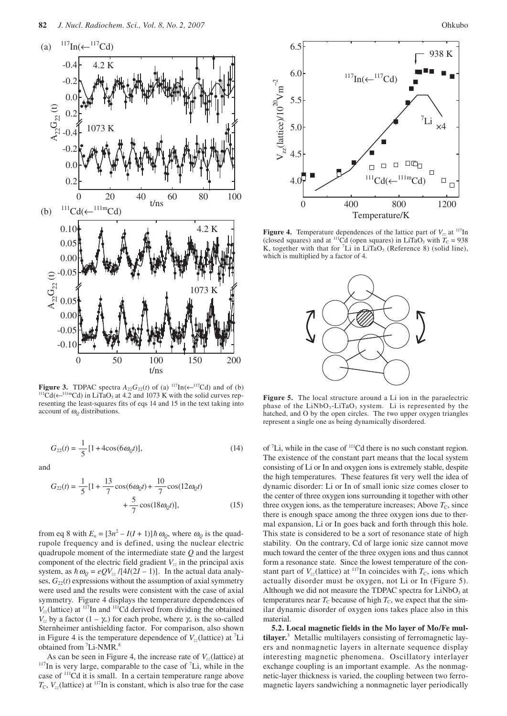

**Figure 3.** TDPAC spectra  $A_{22}G_{22}(t)$  of (a) <sup>117</sup>In(←<sup>117</sup>Cd) and of (b) <sup>111</sup>Cd(←<sup>111m</sup>Cd) in LiTaO<sub>3</sub> at 4.2 and 1073 K with the solid curves representing the least-squares fits of eqs 14 and 15 in the text taking into account of <sup>ω</sup>*Q* distributions.

$$
G_{22}(t) = \frac{1}{5} [1 + 4\cos(6\omega_{0}t)],
$$
\n(14)

and

$$
G_{22}(t) = \frac{1}{5} \left[ 1 + \frac{13}{7} \cos(6\omega_0 t) + \frac{10}{7} \cos(12\omega_0 t) + \frac{5}{7} \cos(18\omega_0 t) \right],\tag{15}
$$

from eq 8 with  $E_n = [3n^2 - I(I + 1)]\hbar \omega_0$ , where  $\omega_0$  is the quadrupole frequency and is defined, using the nuclear electric quadrupole moment of the intermediate state *Q* and the largest component of the electric field gradient  $V_{zz}$  in the principal axis system, as  $\hbar \omega_0 = eQV_{zz}/[4I(2I - 1)]$ . In the actual data analyses,  $G_{22}(t)$  expressions without the assumption of axial symmetry were used and the results were consistent with the case of axial symmetry. Figure 4 displays the temperature dependences of  $V_{z}$ <sup>117</sup>In and <sup>111</sup>Cd derived from dividing the obtained *V<sub>zz</sub>* by a factor  $(1 - \gamma_{\infty})$  for each probe, where  $\gamma_{\infty}$  is the so-called Sternheimer antishielding factor. For comparison, also shown in Figure 4 is the temperature dependence of  $V_{zz}$ (lattice) at <sup>7</sup>Li obtained from <sup>7</sup>Li-NMR.<sup>8</sup>

As can be seen in Figure 4, the increase rate of  $V_{zz}$  (lattice) at <sup>117</sup>In is very large, comparable to the case of <sup>7</sup>Li, while in the case of 111Cd it is small. In a certain temperature range above  $T_c$ ,  $V_{zz}$ (lattice) at  $117$ In is constant, which is also true for the case



4.2 K **Figure 4.** Temperature dependences of the lattice part of  $V_{zz}$  at <sup>117</sup>In (closed squares) and at <sup>111</sup>Cd (open squares) in LiTaO<sub>3</sub> with  $T_c = 938$ K, together with that for  ${}^{7}Li$  in LiTaO<sub>3</sub> (Reference 8) (solid line), which is multiplied by a factor of 4.



**Figure 5.** The local structure around a Li ion in the paraelectric phase of the  $LiNbO<sub>3</sub>-LiTaO<sub>3</sub>$  system. Li is represented by the hatched, and O by the open circles. The two upper oxygen triangles represent a single one as being dynamically disordered.

of 7 Li, while in the case of 111Cd there is no such constant region. The existence of the constant part means that the local system consisting of Li or In and oxygen ions is extremely stable, despite the high temperatures. These features fit very well the idea of dynamic disorder: Li or In of small ionic size comes closer to the center of three oxygen ions surrounding it together with other three oxygen ions, as the temperature increases; Above  $T_c$ , since there is enough space among the three oxygen ions due to thermal expansion, Li or In goes back and forth through this hole. This state is considered to be a sort of resonance state of high stability. On the contrary, Cd of large ionic size cannot move much toward the center of the three oxygen ions and thus cannot form a resonance state. Since the lowest temperature of the constant part of  $V_{zz}$ (lattice) at <sup>117</sup>In coincides with  $T_c$ , ions which actually disorder must be oxygen, not Li or In (Figure 5). Although we did not measure the TDPAC spectra for  $LiNbO<sub>3</sub>$  at temperatures near  $T_c$  because of high  $T_c$ , we expect that the similar dynamic disorder of oxygen ions takes place also in this material.

**5.2. Local magnetic fields in the Mo layer of Mo/Fe multilayer.**<sup>3</sup> Metallic multilayers consisting of ferromagnetic layers and nonmagnetic layers in alternate sequence display interesting magnetic phenomena. Oscillatory interlayer exchange coupling is an important example. As the nonmagnetic-layer thickness is varied, the coupling between two ferromagnetic layers sandwiching a nonmagnetic layer periodically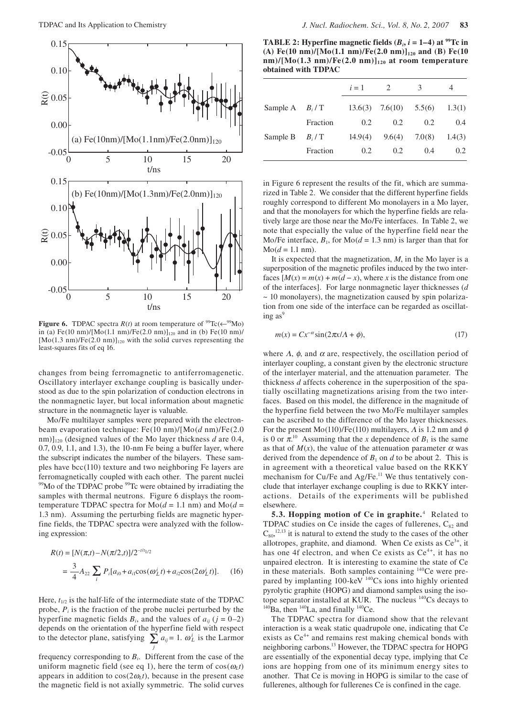

**Figure 6.** TDPAC spectra  $R(t)$  at room temperature of <sup>99</sup>Tc( $\leftarrow$ <sup>99</sup>Mo) in (a) Fe(10 nm)/[Mo(1.1 nm)/Fe(2.0 nm)]<sub>120</sub> and in (b) Fe(10 nm)/  $[Mo(1.3 nm)/Fe(2.0 nm)]_{120}$  with the solid curves representing the least-squares fits of eq 16.

changes from being ferromagnetic to antiferromagenetic. Oscillatory interlayer exchange coupling is basically understood as due to the spin polarization of conduction electrons in the nonmagnetic layer, but local information about magnetic structure in the nonmagnetic layer is valuable.

Mo/Fe multilayer samples were prepared with the electronbeam evaporation technique: Fe(10 nm)/[Mo(*d* nm)/Fe(2.0 nm) $]_{120}$  (designed values of the Mo layer thickness *d* are 0.4, 0.7, 0.9, 1.1, and 1.3), the 10-nm Fe being a buffer layer, where the subscript indicates the number of the bilayers. These samples have bcc(110) texture and two neighboring Fe layers are ferromagnetically coupled with each other. The parent nuclei <sup>99</sup>Mo of the TDPAC probe <sup>99</sup>Tc were obtained by irradiating the samples with thermal neutrons. Figure 6 displays the roomtemperature TDPAC spectra for  $Mo(d = 1.1 \text{ nm})$  and  $Mo(d = 1.1 \text{ nm})$ 1.3 nm). Assuming the perturbing fields are magnetic hyperfine fields, the TDPAC spectra were analyzed with the following expression:

$$
R(t) = [N(\pi, t) - N(\pi/2, t)]/2^{-t/t_{1/2}}
$$
  
= 
$$
\frac{3}{4}A_{22} \sum_{i} P_i[a_{i0} + a_{i1}cos(\omega_L^i t) + a_{i2}cos(2\omega_L^i t)].
$$
 (16)

Here,  $t_{1/2}$  is the half-life of the intermediate state of the TDPAC probe,  $P_i$  is the fraction of the probe nuclei perturbed by the hyperfine magnetic fields  $B_i$ , and the values of  $a_{ii}$  ( $j = 0-2$ ) depends on the orientation of the hyperfine field with respect to the detector plane, satisfying  $\sum_{i=1}^{n} a_{ij} = 1$ .  $\omega_L^i$  is the Larmor *j*

frequency corresponding to  $B_i$ . Different from the case of the uniform magnetic field (see eq 1), here the term of  $cos(\omega_t t)$ appears in addition to  $cos(2\omega_l t)$ , because in the present case the magnetic field is not axially symmetric. The solid curves

**TABLE 2: Hyperfine magnetic fields (** $B_i$ **,**  $i = 1-4$ **) at <sup>99</sup>Tc in** (A)  $Fe(10 \text{ nm})/[Mo(1.1 \text{ nm})/Fe(2.0 \text{ nm})]_{120}$  and (B)  $Fe(10 \text{ nm})$ nm)/[Mo(1.3 nm)/Fe(2.0 nm)]<sub>120</sub> at room temperature **obtained with TDPAC** 

|          |          | $i=1$   | 2                 | 3      | 4             |
|----------|----------|---------|-------------------|--------|---------------|
| Sample A | $B_i/T$  |         | $13.6(3)$ 7.6(10) | 5.5(6) | 1.3(1)        |
|          | Fraction | 0.2     | 0.2               | 0.2    | 0.4           |
| Sample B | $B_i/T$  | 14.9(4) | 9.6(4)            | 7.0(8) | 1.4(3)        |
|          | Fraction | 0.2     | 0.2               | 0.4    | $0.2^{\circ}$ |

in Figure 6 represent the results of the fit, which are summarized in Table 2. We consider that the different hyperfine fields roughly correspond to different Mo monolayers in a Mo layer, and that the monolayers for which the hyperfine fields are relatively large are those near the Mo/Fe interfaces. In Table 2, we note that especially the value of the hyperfine field near the Mo/Fe interface,  $B_1$ , for Mo( $d = 1.3$  nm) is larger than that for  $Mo(d = 1.1 nm).$ 

It is expected that the magnetization, *M*, in the Mo layer is a superposition of the magnetic profiles induced by the two interfaces  $[M(x) = m(x) + m(d - x)$ , where *x* is the distance from one of the interfaces]. For large nonmagnetic layer thicknesses (*d*  $\sim$  10 monolayers), the magnetization caused by spin polarization from one side of the interface can be regarded as oscillating  $as^9$ 

$$
m(x) = Cx^{-\alpha}\sin(2\pi x/\Lambda + \phi),\tag{17}
$$

where  $\Lambda$ ,  $\phi$ , and  $\alpha$  are, respectively, the oscillation period of interlayer coupling, a constant given by the electronic structure of the interlayer material, and the attenuation parameter. The thickness *d* affects coherence in the superposition of the spatially oscillating magnetizations arising from the two interfaces. Based on this model, the difference in the magnitude of the hyperfine field between the two Mo/Fe multilayer samples can be ascribed to the difference of the Mo layer thicknesses. For the present Mo(110)/Fe(110) multilayers,  $\Lambda$  is 1.2 nm and  $\phi$ is 0 or  $\pi$ <sup>10</sup>. Assuming that the *x* dependence of  $B_1$  is the same as that of  $M(x)$ , the value of the attenuation parameter  $\alpha$  was derived from the dependence of  $B_1$  on  $d$  to be about 2. This is in agreement with a theoretical value based on the RKKY mechanism for Cu/Fe and Ag/Fe.<sup>11</sup> We thus tentatively conclude that interlayer exchange coupling is due to RKKY interactions. Details of the experiments will be published elsewhere.

**5.3. Hopping motion of Ce in graphite.<sup>4</sup> Related to** TDPAC studies on Ce inside the cages of fullerenes,  $C_{82}$  and  $C_{80}$ ,<sup>12,13</sup> it is natural to extend the study to the cases of the other allotropes, graphite, and diamond. When Ce exists as  $Ce^{3+}$ , it has one 4f electron, and when Ce exists as  $Ce<sup>4+</sup>$ , it has no unpaired electron. It is interesting to examine the state of Ce in these materials. Both samples containing 140Ce were prepared by implanting 100-keV <sup>140</sup>Cs ions into highly oriented pyrolytic graphite (HOPG) and diamond samples using the isotope separator installed at KUR. The nucleus <sup>140</sup>Cs decays to <sup>140</sup>Ba, then <sup>140</sup>La, and finally <sup>140</sup>Ce.

The TDPAC spectra for diamond show that the relevant interaction is a weak static quadrupole one, indicating that Ce exists as  $Ce<sup>4+</sup>$  and remains rest making chemical bonds with neighboring carbons.13 However, the TDPAC spectra for HOPG are essentially of the exponential decay type, implying that Ce ions are hopping from one of its minimum energy sites to another. That Ce is moving in HOPG is similar to the case of fullerenes, although for fullerenes Ce is confined in the cage.